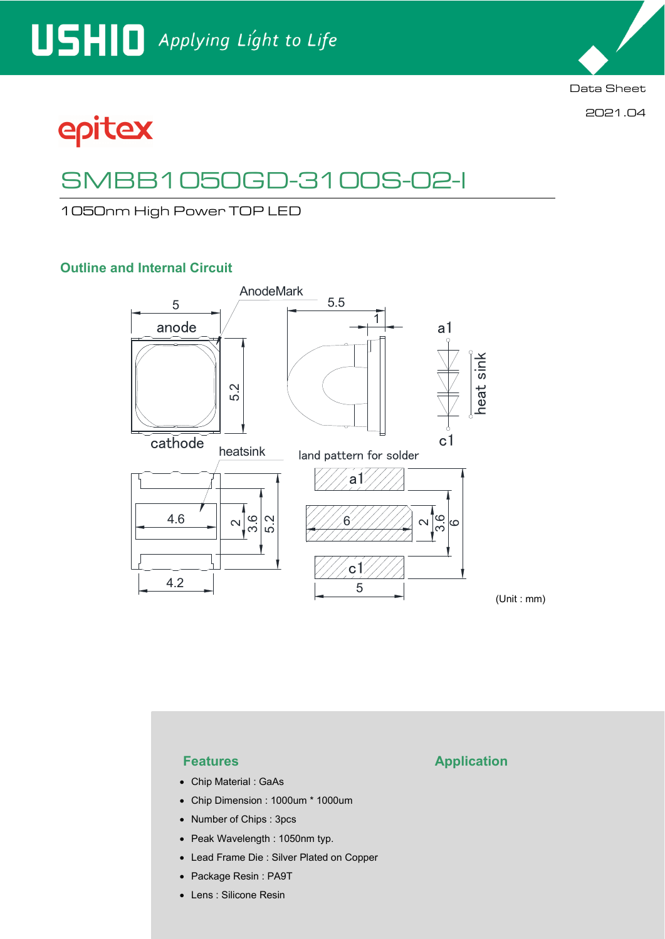Data Sheet

2021.04

# epitex

## SMBB1050GD-3100S-02-I

1050nm High Power TOP LED

### **Outline and Internal Circuit**



- Chip Material : GaAs
- Chip Dimension : 1000um \* 1000um
- Number of Chips : 3pcs
- Peak Wavelength : 1050nm typ.
- Lead Frame Die : Silver Plated on Copper
- Package Resin : PA9T
- Lens : Silicone Resin

### **Features Application**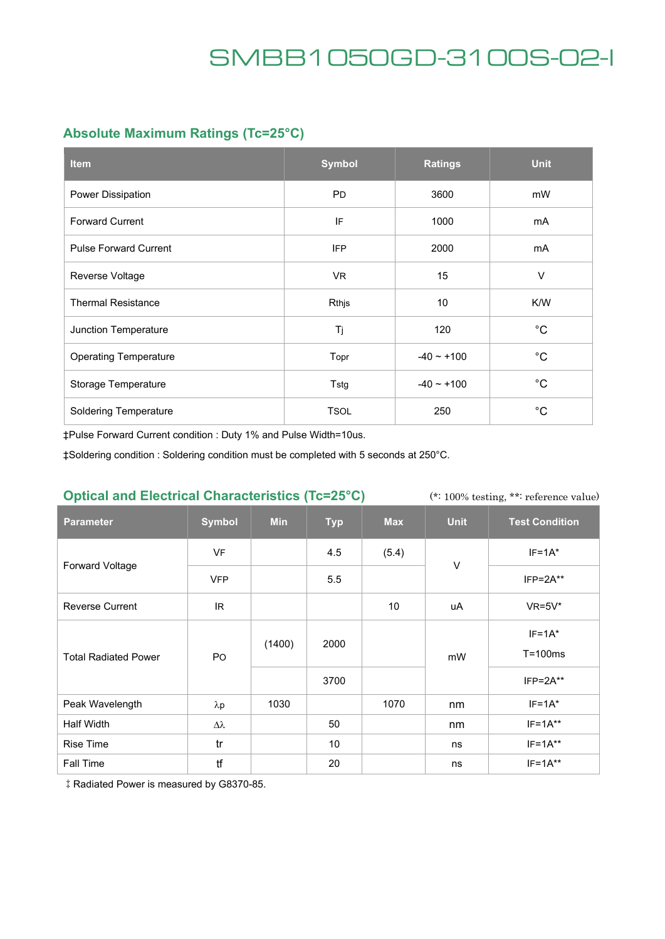### **Absolute Maximum Ratings (Tc=25°C)**

| <b>Item</b>                  | <b>Symbol</b> | <b>Ratings</b> | <b>Unit</b>  |
|------------------------------|---------------|----------------|--------------|
| Power Dissipation            | <b>PD</b>     | 3600           | mW           |
| <b>Forward Current</b>       | IF            | 1000           | mA           |
| <b>Pulse Forward Current</b> | <b>IFP</b>    | 2000           | mA           |
| Reverse Voltage              | VR.           | 15             | $\vee$       |
| <b>Thermal Resistance</b>    | Rthjs         | 10             | K/W          |
| Junction Temperature         | Tj            | 120            | $^{\circ}C$  |
| <b>Operating Temperature</b> | Topr          | $-40 - +100$   | $^{\circ}C$  |
| Storage Temperature          | Tstg          | $-40 - +100$   | $^{\circ}C$  |
| <b>Soldering Temperature</b> | <b>TSOL</b>   | 250            | $^{\circ}$ C |

‡Pulse Forward Current condition : Duty 1% and Pulse Width=10us.

‡Soldering condition : Soldering condition must be completed with 5 seconds at 250°C.

### **Optical and Electrical Characteristics (Tc=25°C)**

(\*: 100% testing, \*\*: reference value)

| <b>Parameter</b>            | <b>Symbol</b> | <b>Min</b> | <b>Typ</b> | <b>Max</b> | <b>Unit</b> | <b>Test Condition</b>     |
|-----------------------------|---------------|------------|------------|------------|-------------|---------------------------|
| <b>Forward Voltage</b>      | <b>VF</b>     |            | 4.5        | (5.4)      | $\vee$      | $IF=1A^*$                 |
|                             | <b>VFP</b>    |            | 5.5        |            |             | $IFP = 2A**$              |
| <b>Reverse Current</b>      | IR.           |            |            | 10         | uA          | $VR=5V^*$                 |
| <b>Total Radiated Power</b> | <b>PO</b>     | (1400)     | 2000       |            | mW          | $IF=1A^*$<br>$T = 100$ ms |
|                             |               |            | 3700       |            |             | $IFP = 2A**$              |
| Peak Wavelength             | $\lambda p$   | 1030       |            | 1070       | nm          | $IF=1A*$                  |
| Half Width                  | Δλ            |            | 50         |            | nm          | $IF=1A**$                 |
| <b>Rise Time</b>            | tr            |            | 10         |            | ns          | $IF=1A**$                 |
| Fall Time                   | tf            |            | 20         |            | ns          | $IF=1A**$                 |

‡Radiated Power is measured by G8370-85.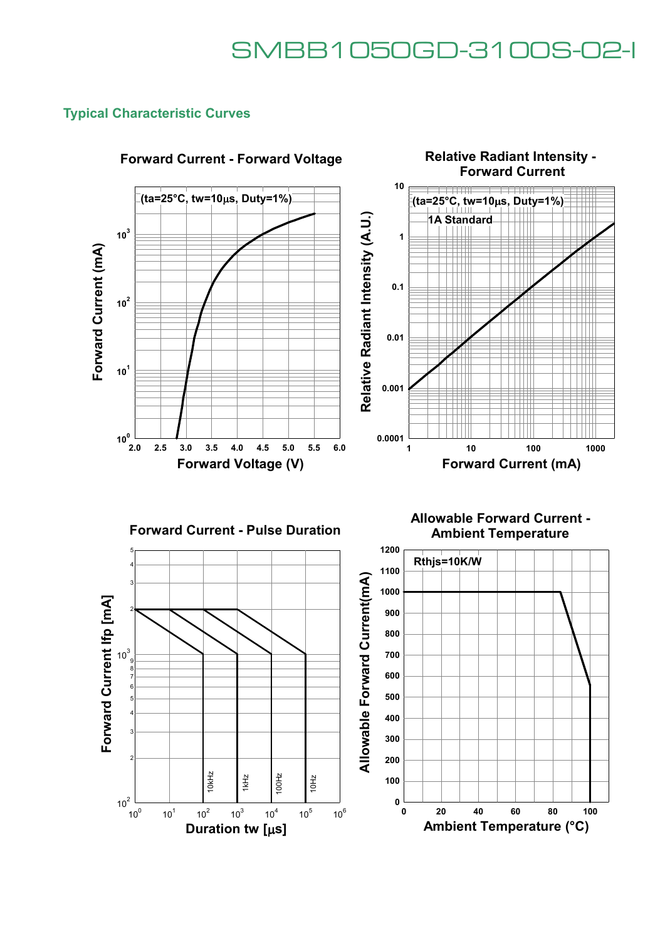### **Typical Characteristic Curves**



### **Forward Current - Forward Voltage**







 **20 40 60 80 100 Ambient Temperature (°C)**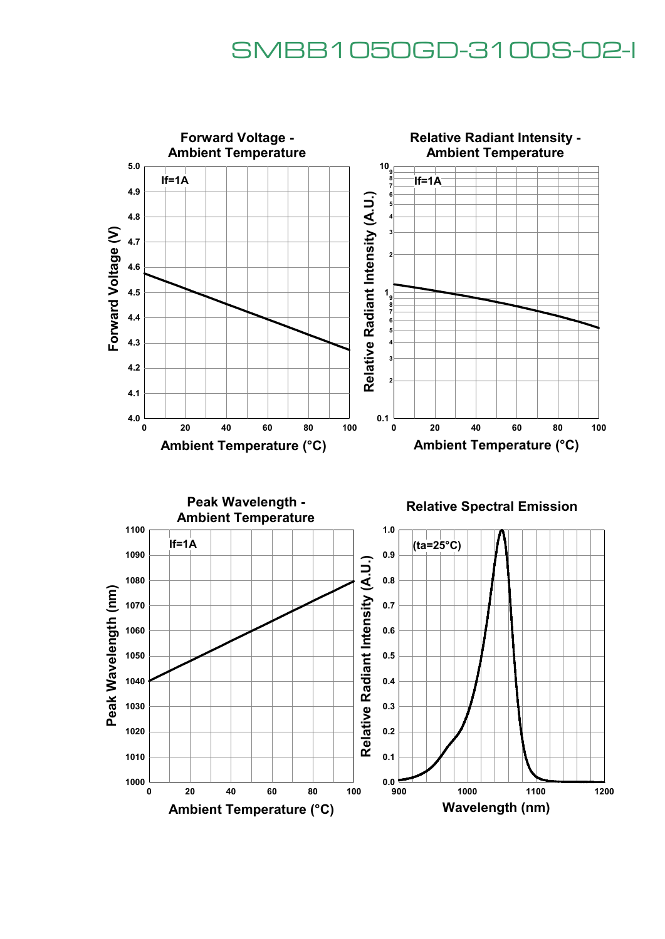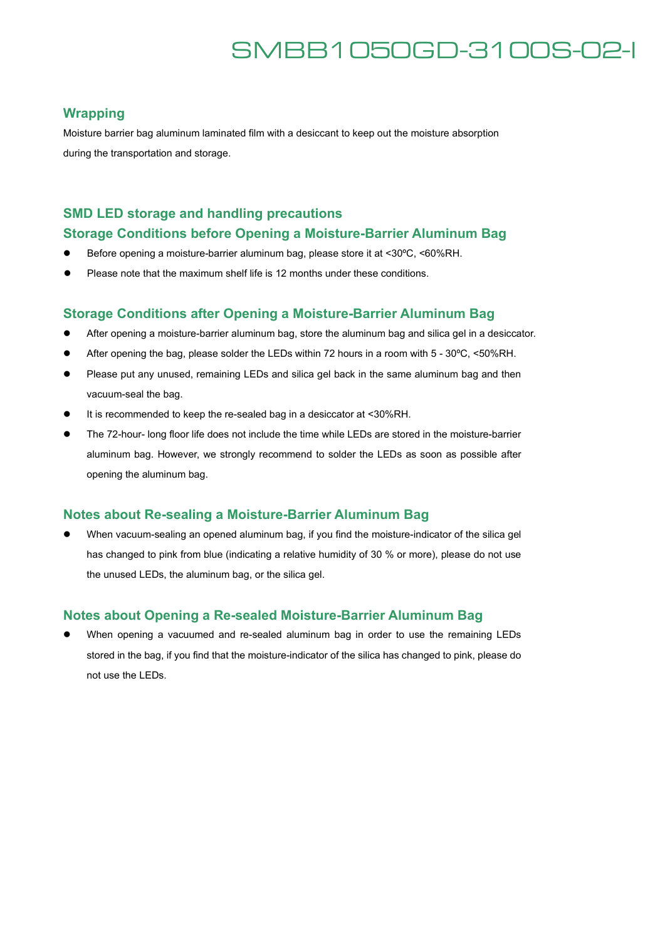#### **Wrapping**

Moisture barrier bag aluminum laminated film with a desiccant to keep out the moisture absorption during the transportation and storage.

### **SMD LED storage and handling precautions**

#### **Storage Conditions before Opening a Moisture-Barrier Aluminum Bag**

- Before opening a moisture-barrier aluminum bag, please store it at <30°C, <60%RH.
- Please note that the maximum shelf life is 12 months under these conditions.

#### **Storage Conditions after Opening a Moisture-Barrier Aluminum Bag**

- After opening a moisture-barrier aluminum bag, store the aluminum bag and silica gel in a desiccator.
- After opening the bag, please solder the LEDs within 72 hours in a room with 5 30°C, <50%RH.
- Please put any unused, remaining LEDs and silica gel back in the same aluminum bag and then vacuum-seal the bag.
- It is recommended to keep the re-sealed bag in a desiccator at <30%RH.
- The 72-hour- long floor life does not include the time while LEDs are stored in the moisture-barrier aluminum bag. However, we strongly recommend to solder the LEDs as soon as possible after opening the aluminum bag.

#### **Notes about Re-sealing a Moisture-Barrier Aluminum Bag**

 When vacuum-sealing an opened aluminum bag, if you find the moisture-indicator of the silica gel has changed to pink from blue (indicating a relative humidity of 30 % or more), please do not use the unused LEDs, the aluminum bag, or the silica gel.

### **Notes about Opening a Re-sealed Moisture-Barrier Aluminum Bag**

 When opening a vacuumed and re-sealed aluminum bag in order to use the remaining LEDs stored in the bag, if you find that the moisture-indicator of the silica has changed to pink, please do not use the LEDs.